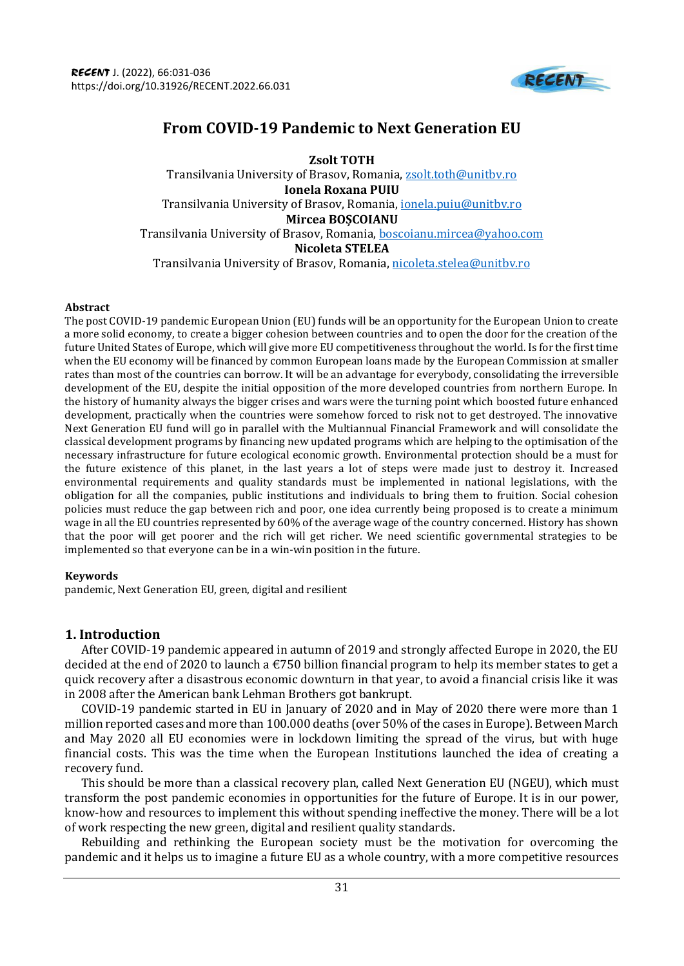

# **From COVID-19 Pandemic to Next Generation EU**

**Zsolt TOTH** Transilvania University of Brasov, Romania, [zsolt.toth@unitbv.ro](mailto:zsolt.toth@unitbv.ro) **Ionela Roxana PUIU** Transilvania University of Brasov, Romania, [ionela.puiu@unitbv.ro](mailto:ionela.puiu@unitbv.ro) **Mircea BOȘCOIANU** Transilvania University of Brasov, Romania, [boscoianu.mircea@yahoo.com](mailto:boscoianu.mircea@yahoo.com) **Nicoleta STELEA** Transilvania University of Brasov, Romania, [nicoleta.stelea@unitbv.ro](mailto:nicoleta.stelea@unitbv.ro)

#### **Abstract**

The post COVID-19 pandemic European Union (EU) funds will be an opportunity for the European Union to create a more solid economy, to create a bigger cohesion between countries and to open the door for the creation of the future United States of Europe, which will give more EU competitiveness throughout the world. Is for the first time when the EU economy will be financed by common European loans made by the European Commission at smaller rates than most of the countries can borrow. It will be an advantage for everybody, consolidating the irreversible development of the EU, despite the initial opposition of the more developed countries from northern Europe. In the history of humanity always the bigger crises and wars were the turning point which boosted future enhanced development, practically when the countries were somehow forced to risk not to get destroyed. The innovative Next Generation EU fund will go in parallel with the Multiannual Financial Framework and will consolidate the classical development programs by financing new updated programs which are helping to the optimisation of the necessary infrastructure for future ecological economic growth. Environmental protection should be a must for the future existence of this planet, in the last years a lot of steps were made just to destroy it. Increased environmental requirements and quality standards must be implemented in national legislations, with the obligation for all the companies, public institutions and individuals to bring them to fruition. Social cohesion policies must reduce the gap between rich and poor, one idea currently being proposed is to create a minimum wage in all the EU countries represented by 60% of the average wage of the country concerned. History has shown that the poor will get poorer and the rich will get richer. We need scientific governmental strategies to be implemented so that everyone can be in a win-win position in the future.

## **Keywords**

pandemic, Next Generation EU, green, digital and resilient

## **1. Introduction**

After COVID-19 pandemic appeared in autumn of 2019 and strongly affected Europe in 2020, the EU decided at the end of 2020 to launch a  $\epsilon$ 750 billion financial program to help its member states to get a quick recovery after a disastrous economic downturn in that year, to avoid a financial crisis like it was in 2008 after the American bank Lehman Brothers got bankrupt.

COVID-19 pandemic started in EU in January of 2020 and in May of 2020 there were more than 1 million reported cases and more than 100.000 deaths (over 50% of the cases in Europe). Between March and May 2020 all EU economies were in lockdown limiting the spread of the virus, but with huge financial costs. This was the time when the European Institutions launched the idea of creating a recovery fund.

This should be more than a classical recovery plan, called Next Generation EU (NGEU), which must transform the post pandemic economies in opportunities for the future of Europe. It is in our power, know-how and resources to implement this without spending ineffective the money. There will be a lot of work respecting the new green, digital and resilient quality standards.

Rebuilding and rethinking the European society must be the motivation for overcoming the pandemic and it helps us to imagine a future EU as a whole country, with a more competitive resources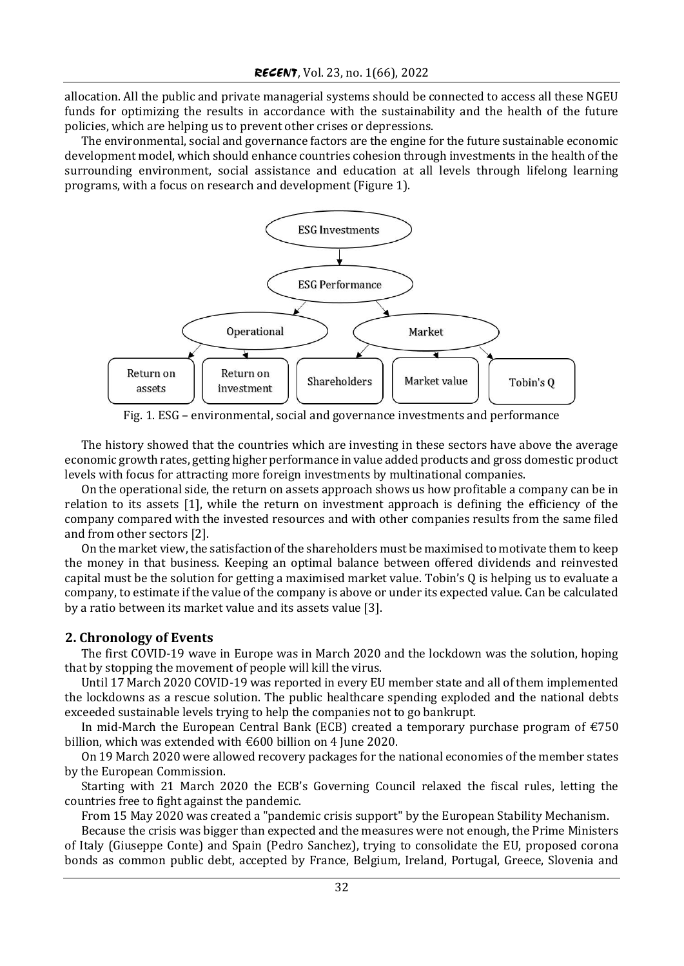allocation. All the public and private managerial systems should be connected to access all these NGEU funds for optimizing the results in accordance with the sustainability and the health of the future policies, which are helping us to prevent other crises or depressions.

The environmental, social and governance factors are the engine for the future sustainable economic development model, which should enhance countries cohesion through investments in the health of the surrounding environment, social assistance and education at all levels through lifelong learning programs, with a focus on research and development (Figure 1).



Fig. 1. ESG – environmental, social and governance investments and performance

The history showed that the countries which are investing in these sectors have above the average economic growth rates, getting higher performance in value added products and gross domestic product levels with focus for attracting more foreign investments by multinational companies.

On the operational side, the return on assets approach shows us how profitable a company can be in relation to its assets [1], while the return on investment approach is defining the efficiency of the company compared with the invested resources and with other companies results from the same filed and from other sectors [2].

On the market view, the satisfaction of the shareholders must be maximised to motivate them to keep the money in that business. Keeping an optimal balance between offered dividends and reinvested capital must be the solution for getting a maximised market value. Tobin's Q is helping us to evaluate a company, to estimate if the value of the company is above or under its expected value. Can be calculated by a ratio between its market value and its assets value [3].

## **2. Chronology of Events**

The first COVID-19 wave in Europe was in March 2020 and the lockdown was the solution, hoping that by stopping the movement of people will kill the virus.

Until 17 March 2020 COVID-19 was reported in every EU member state and all of them implemented the lockdowns as a rescue solution. The public healthcare spending exploded and the national debts exceeded sustainable levels trying to help the companies not to go bankrupt.

In mid-March the European Central Bank (ECB) created a temporary purchase program of  $\epsilon$ 750 billion, which was extended with €600 billion on 4 June 2020.

On 19 March 2020 were allowed recovery packages for the national economies of the member states by the European Commission.

Starting with 21 March 2020 the ECB's Governing Council relaxed the fiscal rules, letting the countries free to fight against the pandemic.

From 15 May 2020 was created a "pandemic crisis support" by the European Stability Mechanism.

Because the crisis was bigger than expected and the measures were not enough, the Prime Ministers of Italy (Giuseppe Conte) and Spain (Pedro Sanchez), trying to consolidate the EU, proposed corona bonds as common public debt, accepted by France, Belgium, Ireland, Portugal, Greece, Slovenia and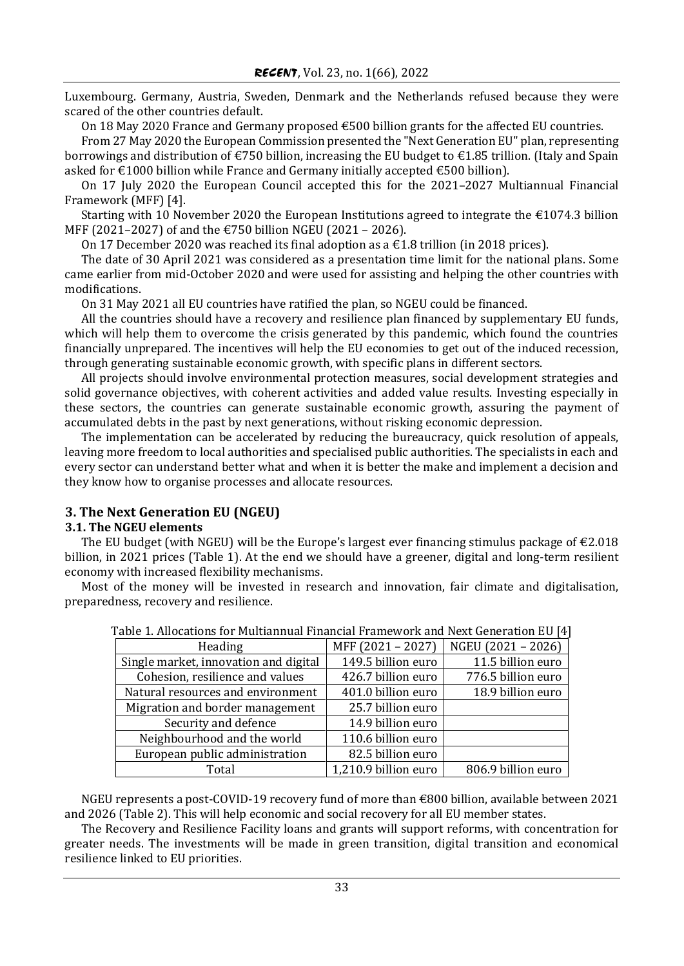Luxembourg. Germany, Austria, Sweden, Denmark and the Netherlands refused because they were scared of the other countries default.

On 18 May 2020 France and Germany proposed €500 billion grants for the affected EU countries.

From 27 May 2020 the European Commission presented the "Next Generation EU" plan, representing borrowings and distribution of €750 billion, increasing the EU budget to €1.85 trillion. (Italy and Spain asked for  $\epsilon$ 1000 billion while France and Germany initially accepted  $\epsilon$ 500 billion).

On 17 July 2020 the European Council accepted this for the 2021–2027 Multiannual Financial Framework (MFF) [4].

Starting with 10 November 2020 the European Institutions agreed to integrate the  $\epsilon$ 1074.3 billion MFF (2021–2027) of and the €750 billion NGEU (2021 – 2026).

On 17 December 2020 was reached its final adoption as a  $\epsilon$ 1.8 trillion (in 2018 prices).

The date of 30 April 2021 was considered as a presentation time limit for the national plans. Some came earlier from mid-October 2020 and were used for assisting and helping the other countries with modifications.

On 31 May 2021 all EU countries have ratified the plan, so NGEU could be financed.

All the countries should have a recovery and resilience plan financed by supplementary EU funds, which will help them to overcome the crisis generated by this pandemic, which found the countries financially unprepared. The incentives will help the EU economies to get out of the induced recession, through generating sustainable economic growth, with specific plans in different sectors.

All projects should involve environmental protection measures, social development strategies and solid governance objectives, with coherent activities and added value results. Investing especially in these sectors, the countries can generate sustainable economic growth, assuring the payment of accumulated debts in the past by next generations, without risking economic depression.

The implementation can be accelerated by reducing the bureaucracy, quick resolution of appeals, leaving more freedom to local authorities and specialised public authorities. The specialists in each and every sector can understand better what and when it is better the make and implement a decision and they know how to organise processes and allocate resources.

## **3. The Next Generation EU (NGEU)**

## **3.1. The NGEU elements**

The EU budget (with NGEU) will be the Europe's largest ever financing stimulus package of  $\epsilon$ 2.018 billion, in 2021 prices (Table 1). At the end we should have a greener, digital and long-term resilient economy with increased flexibility mechanisms.

Most of the money will be invested in research and innovation, fair climate and digitalisation, preparedness, recovery and resilience.

| able 1. Allocations for Multiannual Financial Framework and Next Generation EU [4] |                      |                    |
|------------------------------------------------------------------------------------|----------------------|--------------------|
| Heading                                                                            | MFF (2021 - 2027)    | NGEU (2021 - 2026) |
| Single market, innovation and digital                                              | 149.5 billion euro   | 11.5 billion euro  |
| Cohesion, resilience and values                                                    | 426.7 billion euro   | 776.5 billion euro |
| Natural resources and environment                                                  | 401.0 billion euro   | 18.9 billion euro  |
| Migration and border management                                                    | 25.7 billion euro    |                    |
| Security and defence                                                               | 14.9 billion euro    |                    |
| Neighbourhood and the world                                                        | 110.6 billion euro   |                    |
| European public administration                                                     | 82.5 billion euro    |                    |
| Total                                                                              | 1,210.9 billion euro | 806.9 billion euro |

| Table 1. Allocations for Multiannual Financial Framework and Next Generation EU [4] |  |
|-------------------------------------------------------------------------------------|--|
|-------------------------------------------------------------------------------------|--|

NGEU represents a post-COVID-19 recovery fund of more than €800 billion, available between 2021 and 2026 (Table 2). This will help economic and social recovery for all EU member states.

The Recovery and Resilience Facility loans and grants will support reforms, with concentration for greater needs. The investments will be made in green transition, digital transition and economical resilience linked to EU priorities.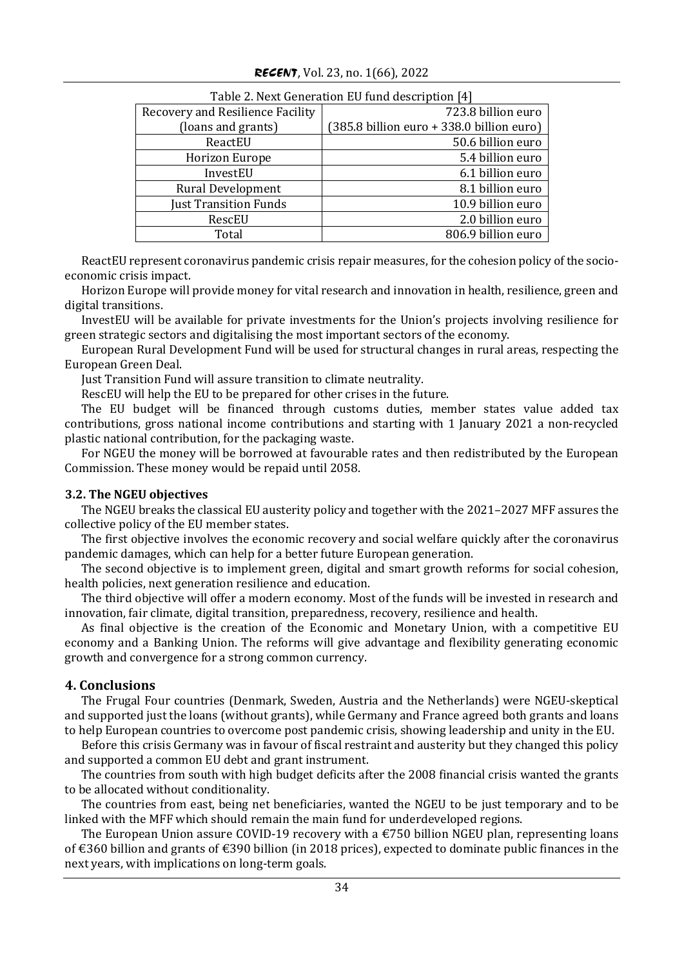| Table 2. Next Generation BU fund description <sub>14</sub> |                                           |  |
|------------------------------------------------------------|-------------------------------------------|--|
| Recovery and Resilience Facility                           | 723.8 billion euro                        |  |
| (loans and grants)                                         | (385.8 billion euro + 338.0 billion euro) |  |
| ReactEU                                                    | 50.6 billion euro                         |  |
| Horizon Europe                                             | 5.4 billion euro                          |  |
| InvestEU                                                   | 6.1 billion euro                          |  |
| <b>Rural Development</b>                                   | 8.1 billion euro                          |  |
| <b>Just Transition Funds</b>                               | 10.9 billion euro                         |  |
| RescEU                                                     | 2.0 billion euro                          |  |
| Total                                                      | 806.9 billion euro                        |  |

## Table 2. Next Generation EU fund description [4]

ReactEU represent coronavirus pandemic crisis repair measures, for the cohesion policy of the socioeconomic crisis impact.

Horizon Europe will provide money for vital research and innovation in health, resilience, green and digital transitions.

InvestEU will be available for private investments for the Union's projects involving resilience for green strategic sectors and digitalising the most important sectors of the economy.

European Rural Development Fund will be used for structural changes in rural areas, respecting the European Green Deal.

Just Transition Fund will assure transition to climate neutrality.

RescEU will help the EU to be prepared for other crises in the future.

The EU budget will be financed through customs duties, member states value added tax contributions, gross national income contributions and starting with 1 January 2021 a non-recycled plastic national contribution, for the packaging waste.

For NGEU the money will be borrowed at favourable rates and then redistributed by the European Commission. These money would be repaid until 2058.

## **3.2. The NGEU objectives**

The NGEU breaks the classical EU austerity policy and together with the 2021–2027 MFF assures the collective policy of the EU member states.

The first objective involves the economic recovery and social welfare quickly after the coronavirus pandemic damages, which can help for a better future European generation.

The second objective is to implement green, digital and smart growth reforms for social cohesion, health policies, next generation resilience and education.

The third objective will offer a modern economy. Most of the funds will be invested in research and innovation, fair climate, digital transition, preparedness, recovery, resilience and health.

As final objective is the creation of the Economic and Monetary Union, with a competitive EU economy and a Banking Union. The reforms will give advantage and flexibility generating economic growth and convergence for a strong common currency.

## **4. Conclusions**

The Frugal Four countries (Denmark, Sweden, Austria and the Netherlands) were NGEU-skeptical and supported just the loans (without grants), while Germany and France agreed both grants and loans to help European countries to overcome post pandemic crisis, showing leadership and unity in the EU.

Before this crisis Germany was in favour of fiscal restraint and austerity but they changed this policy and supported a common EU debt and grant instrument.

The countries from south with high budget deficits after the 2008 financial crisis wanted the grants to be allocated without conditionality.

The countries from east, being net beneficiaries, wanted the NGEU to be just temporary and to be linked with the MFF which should remain the main fund for underdeveloped regions.

The European Union assure COVID-19 recovery with a  $\epsilon$ 750 billion NGEU plan, representing loans of €360 billion and grants of €390 billion (in 2018 prices), expected to dominate public finances in the next years, with implications on long-term goals.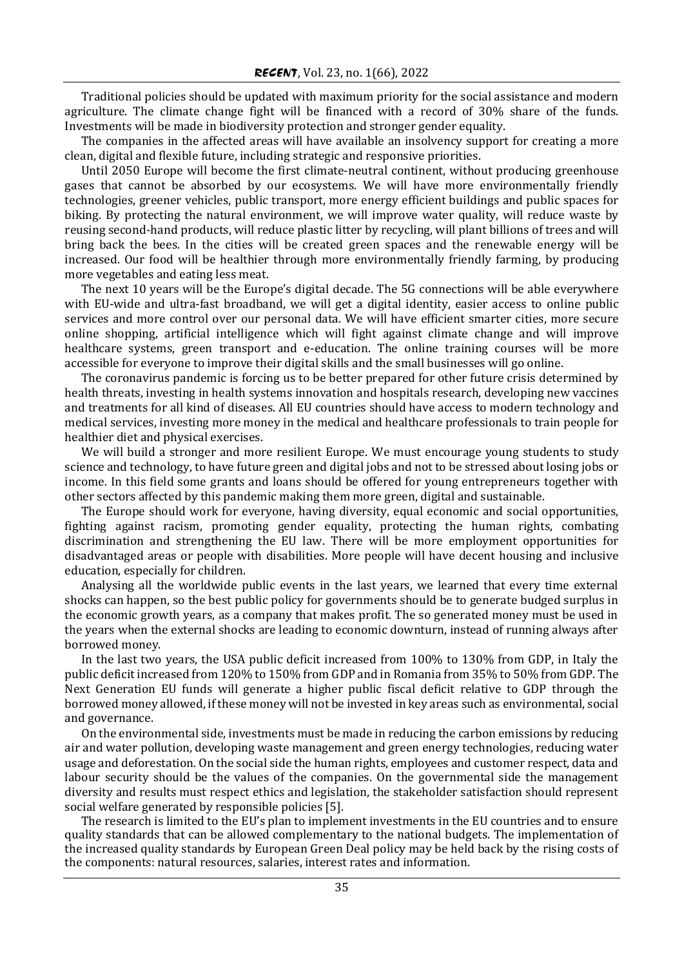Traditional policies should be updated with maximum priority for the social assistance and modern agriculture. The climate change fight will be financed with a record of 30% share of the funds. Investments will be made in biodiversity protection and stronger gender equality.

The companies in the affected areas will have available an insolvency support for creating a more clean, digital and flexible future, including strategic and responsive priorities.

Until 2050 Europe will become the first climate-neutral continent, without producing greenhouse gases that cannot be absorbed by our ecosystems. We will have more environmentally friendly technologies, greener vehicles, public transport, more energy efficient buildings and public spaces for biking. By protecting the natural environment, we will improve water quality, will reduce waste by reusing second-hand products, will reduce plastic litter by recycling, will plant billions of trees and will bring back the bees. In the cities will be created green spaces and the renewable energy will be increased. Our food will be healthier through more environmentally friendly farming, by producing more vegetables and eating less meat.

The next 10 years will be the Europe's digital decade. The 5G connections will be able everywhere with EU-wide and ultra-fast broadband, we will get a digital identity, easier access to online public services and more control over our personal data. We will have efficient smarter cities, more secure online shopping, artificial intelligence which will fight against climate change and will improve healthcare systems, green transport and e-education. The online training courses will be more accessible for everyone to improve their digital skills and the small businesses will go online.

The coronavirus pandemic is forcing us to be better prepared for other future crisis determined by health threats, investing in health systems innovation and hospitals research, developing new vaccines and treatments for all kind of diseases. All EU countries should have access to modern technology and medical services, investing more money in the medical and healthcare professionals to train people for healthier diet and physical exercises.

We will build a stronger and more resilient Europe. We must encourage young students to study science and technology, to have future green and digital jobs and not to be stressed about losing jobs or income. In this field some grants and loans should be offered for young entrepreneurs together with other sectors affected by this pandemic making them more green, digital and sustainable.

The Europe should work for everyone, having diversity, equal economic and social opportunities, fighting against racism, promoting gender equality, protecting the human rights, combating discrimination and strengthening the EU law. There will be more employment opportunities for disadvantaged areas or people with disabilities. More people will have decent housing and inclusive education, especially for children.

Analysing all the worldwide public events in the last years, we learned that every time external shocks can happen, so the best public policy for governments should be to generate budged surplus in the economic growth years, as a company that makes profit. The so generated money must be used in the years when the external shocks are leading to economic downturn, instead of running always after borrowed money.

In the last two years, the USA public deficit increased from 100% to 130% from GDP, in Italy the public deficit increased from 120% to 150% from GDP and in Romania from 35% to 50% from GDP. The Next Generation EU funds will generate a higher public fiscal deficit relative to GDP through the borrowed money allowed, if these money will not be invested in key areas such as environmental, social and governance.

On the environmental side, investments must be made in reducing the carbon emissions by reducing air and water pollution, developing waste management and green energy technologies, reducing water usage and deforestation. On the social side the human rights, employees and customer respect, data and labour security should be the values of the companies. On the governmental side the management diversity and results must respect ethics and legislation, the stakeholder satisfaction should represent social welfare generated by responsible policies [5].

The research is limited to the EU's plan to implement investments in the EU countries and to ensure quality standards that can be allowed complementary to the national budgets. The implementation of the increased quality standards by European Green Deal policy may be held back by the rising costs of the components: natural resources, salaries, interest rates and information.